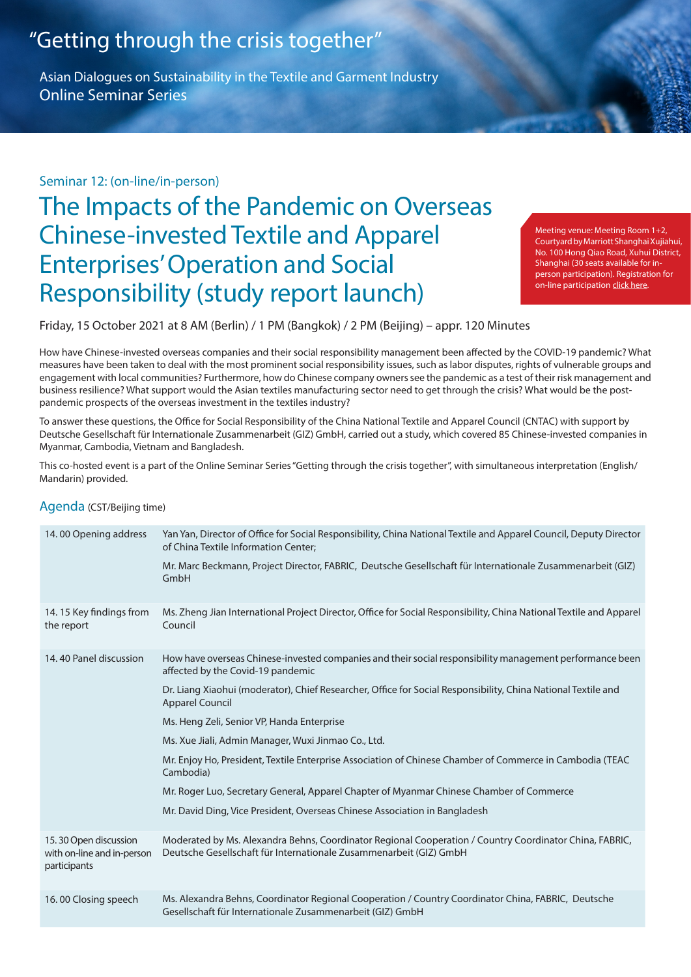# "Getting through the crisis together"

Asian Dialogues on Sustainability in the Textile and Garment Industry **Online Seminar Series** 

### Seminar 12: (on-line/in-person)

# The Impacts of the Pandemic on Overseas Chinese-invested Textile and Apparel **Enterprises' Operation and Social** Responsibility (study report launch)

Meeting venue: Meeting Room 1+2, Courtyard by Marriott Shanghai Xujiahui, No. 100 Hong Qiao Road, Xuhui District, person participation). Registration for Shanghai (30 seats available for inon-line participation click here.

Friday, 15 October 2021 at 8 AM (Berlin) / 1 PM (Bangkok) / 2 PM (Beijing) - appr. 120 Minutes

How have Chinese-invested overseas companies and their social responsibility management been affected by the COVID-19 pandemic? What measures have been taken to deal with the most prominent social responsibility issues, such as labor disputes, rights of vulnerable groups and engagement with local communities? Furthermore, how do Chinese company owners see the pandemic as a test of their risk management and business resilience? What support would the Asian textiles manufacturing sector need to get through the crisis? What would be the post-<br>pandemic prospects of the overseas investment in the textiles industry?

To answer these questions, the Office for Social Responsibility of the China National Textile and Apparel Council (CNTAC) with support by Deutsche Gesellschaft für Internationale Zusammenarbeit (GIZ) GmbH, carried out a study, which covered 85 Chinese-invested companies in Myanmar, Cambodia, Vietnam and Bangladesh.

This co-hosted event is a part of the Online Seminar Series "Getting through the crisis together", with simultaneous interpretation (English/ Mandarin) provided.

#### Agenda (CST/Beijing time)

| 14.00 Opening address                                               | Yan Yan, Director of Office for Social Responsibility, China National Textile and Apparel Council, Deputy Director<br>of China Textile Information Center;                    |
|---------------------------------------------------------------------|-------------------------------------------------------------------------------------------------------------------------------------------------------------------------------|
|                                                                     | Mr. Marc Beckmann, Project Director, FABRIC, Deutsche Gesellschaft für Internationale Zusammenarbeit (GIZ)<br>GmbH                                                            |
| 14.15 Key findings from<br>the report                               | Ms. Zheng Jian International Project Director, Office for Social Responsibility, China National Textile and Apparel<br>Council                                                |
| 14.40 Panel discussion                                              | How have overseas Chinese-invested companies and their social responsibility management performance been<br>affected by the Covid-19 pandemic                                 |
|                                                                     | Dr. Liang Xiaohui (moderator), Chief Researcher, Office for Social Responsibility, China National Textile and<br><b>Apparel Council</b>                                       |
|                                                                     | Ms. Heng Zeli, Senior VP, Handa Enterprise                                                                                                                                    |
|                                                                     | Ms. Xue Jiali, Admin Manager, Wuxi Jinmao Co., Ltd.                                                                                                                           |
|                                                                     | Mr. Enjoy Ho, President, Textile Enterprise Association of Chinese Chamber of Commerce in Cambodia (TEAC<br>Cambodia)                                                         |
|                                                                     | Mr. Roger Luo, Secretary General, Apparel Chapter of Myanmar Chinese Chamber of Commerce                                                                                      |
|                                                                     | Mr. David Ding, Vice President, Overseas Chinese Association in Bangladesh                                                                                                    |
| 15.30 Open discussion<br>with on-line and in-person<br>participants | Moderated by Ms. Alexandra Behns, Coordinator Regional Cooperation / Country Coordinator China, FABRIC,<br>Deutsche Gesellschaft für Internationale Zusammenarbeit (GIZ) GmbH |
| 16.00 Closing speech                                                | Ms. Alexandra Behns, Coordinator Regional Cooperation / Country Coordinator China, FABRIC, Deutsche<br>Gesellschaft für Internationale Zusammenarbeit (GIZ) GmbH              |